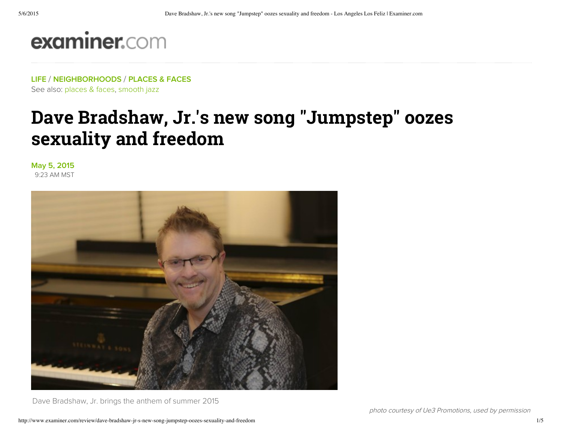# examiner.com

LIFE / NEIGHBORHOODS / PLACES & FACES See also: places & faces, smooth jazz

## Dave Bradshaw, Jr.'s new song "Jumpstep" oozes sexuality and freedom

May 5, 2015 9:23 AM MST



Dave Bradshaw, Jr. brings the anthem of summer 2015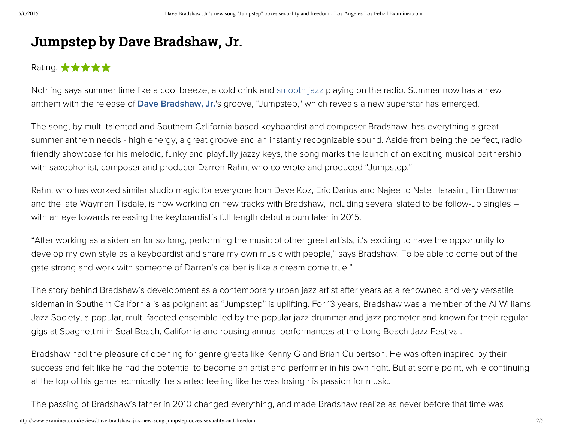### Jumpstep by Dave Bradshaw, Jr.

### Rating:  $\star \star \star \star \star$

Nothing says summer time like a cool breeze, a cold drink and smooth jazz playing on the radio. Summer now has a new anthem with the release of Dave Bradshaw, Jr.'s groove, "Jumpstep," which reveals a new superstar has emerged.

The song, by multi-talented and Southern California based keyboardist and composer Bradshaw, has everything a great summer anthem needs - high energy, a great groove and an instantly recognizable sound. Aside from being the perfect, radio friendly showcase for his melodic, funky and playfully jazzy keys, the song marks the launch of an exciting musical partnership with saxophonist, composer and producer Darren Rahn, who co-wrote and produced "Jumpstep."

Rahn, who has worked similar studio magic for everyone from Dave Koz, Eric Darius and Najee to Nate Harasim, Tim Bowman and the late Wayman Tisdale, is now working on new tracks with Bradshaw, including several slated to be follow-up singles – with an eye towards releasing the keyboardist's full length debut album later in 2015.

"After working as a sideman for so long, performing the music of other great artists, it's exciting to have the opportunity to develop my own style as a keyboardist and share my own music with people," says Bradshaw. To be able to come out of the gate strong and work with someone of Darren's caliber is like a dream come true."

The story behind Bradshaw's development as a contemporary urban jazz artist after years as a renowned and very versatile sideman in Southern California is as poignant as "Jumpstep" is uplifting. For 13 years, Bradshaw was a member of the Al Williams Jazz Society, a popular, multi-faceted ensemble led by the popular jazz drummer and jazz promoter and known for their regular gigs at Spaghettini in Seal Beach, California and rousing annual performances at the Long Beach Jazz Festival.

Bradshaw had the pleasure of opening for genre greats like Kenny G and Brian Culbertson. He was often inspired by their success and felt like he had the potential to become an artist and performer in his own right. But at some point, while continuing at the top of his game technically, he started feeling like he was losing his passion for music.

The passing of Bradshaw's father in 2010 changed everything, and made Bradshaw realize as never before that time was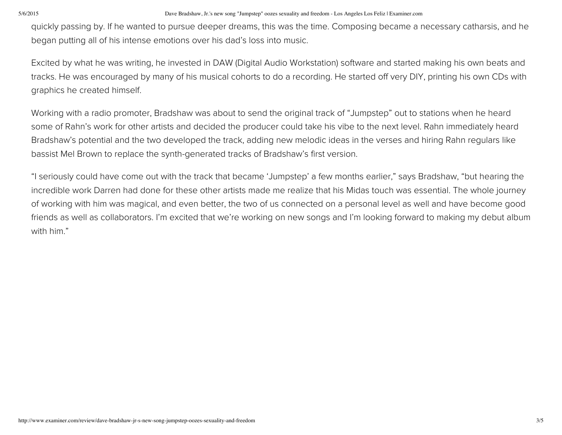#### 5/6/2015 Dave Bradshaw, Jr.'s new song "Jumpstep" oozes sexuality and freedom - Los Angeles Los Feliz | Examiner.com

quickly passing by. If he wanted to pursue deeper dreams, this was the time. Composing became a necessary catharsis, and he began putting all of his intense emotions over his dad's loss into music.

Excited by what he was writing, he invested in DAW (Digital Audio Workstation) software and started making his own beats and tracks. He was encouraged by many of his musical cohorts to do a recording. He started off very DIY, printing his own CDs with graphics he created himself.

Working with a radio promoter, Bradshaw was about to send the original track of "Jumpstep" out to stations when he heard some of Rahn's work for other artists and decided the producer could take his vibe to the next level. Rahn immediately heard Bradshaw's potential and the two developed the track, adding new melodic ideas in the verses and hiring Rahn regulars like bassist Mel Brown to replace the synth-generated tracks of Bradshaw's first version.

"I seriously could have come out with the track that became 'Jumpstep' a few months earlier," says Bradshaw, "but hearing the incredible work Darren had done for these other artists made me realize that his Midas touch was essential. The whole journey of working with him was magical, and even better, the two of us connected on a personal level as well and have become good friends as well as collaborators. I'm excited that we're working on new songs and I'm looking forward to making my debut album with him."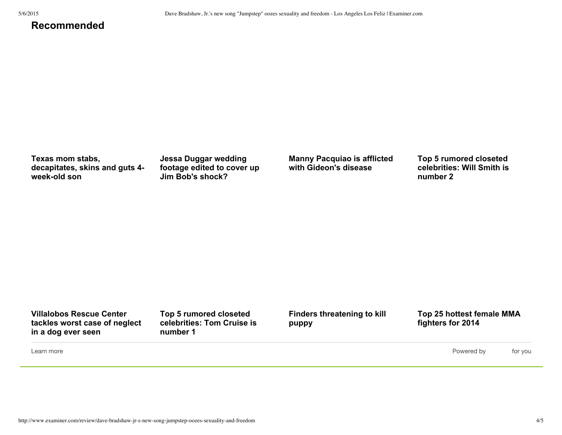#### **Recommended**

**Texas mom stabs, decapitates, skins and guts 4** week-old son

**Jessa Duggar wedding footage edited to cover up Jim Bob's shock?**

**Manny Pacquiao is afflicted with Gideon's disease**

**Top 5 rumored closeted celebrities: Will Smith is number 2**

**Villalobos Rescue Center tackles worst case of neglect in a dog ever seen**

**Top 5 rumored closeted celebrities: Tom Cruise is number 1**

**Finders threatening to kill puppy**

**Top 25 hottest female MMA fighters for 2014**

Learn more

Powered by for you